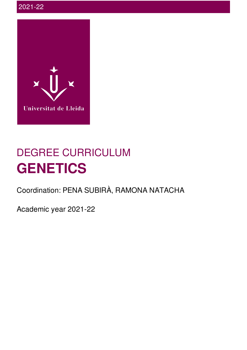

# DEGREE CURRICULUM **GENETICS**

Coordination: PENA SUBIRÀ, RAMONA NATACHA

Academic year 2021-22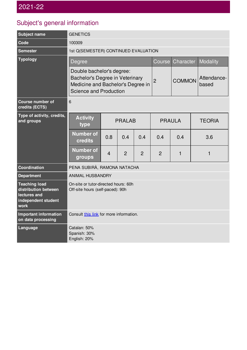## Subject's general information

| <b>Subject name</b>                                                                         | <b>GENETICS</b>                                                                                                                           |                |                |                |                      |               |          |
|---------------------------------------------------------------------------------------------|-------------------------------------------------------------------------------------------------------------------------------------------|----------------|----------------|----------------|----------------------|---------------|----------|
| Code                                                                                        | 100309                                                                                                                                    |                |                |                |                      |               |          |
| <b>Semester</b>                                                                             | 1st Q(SEMESTER) CONTINUED EVALUATION                                                                                                      |                |                |                |                      |               |          |
| <b>Typology</b>                                                                             | Degree                                                                                                                                    |                |                |                | Course               | Character     | Modality |
|                                                                                             | Double bachelor's degree:<br><b>Bachelor's Degree in Veterinary</b><br>Medicine and Bachelor's Degree in<br><b>Science and Production</b> |                | $\overline{2}$ | <b>COMMON</b>  | Attendance-<br>based |               |          |
| <b>Course number of</b><br>credits (ECTS)                                                   | 6                                                                                                                                         |                |                |                |                      |               |          |
| Type of activity, credits,<br>and groups                                                    | <b>Activity</b><br>type                                                                                                                   | <b>PRALAB</b>  |                | <b>PRAULA</b>  |                      | <b>TEORIA</b> |          |
|                                                                                             | <b>Number of</b><br>credits                                                                                                               | 0.8            | 0.4            | 0.4            | 0.4                  | 0.4           | 3.6      |
|                                                                                             | <b>Number of</b><br>groups                                                                                                                | $\overline{4}$ | $\overline{2}$ | $\overline{2}$ | $\overline{2}$       | 1             | 1        |
| <b>Coordination</b>                                                                         | PENA SUBIRÀ, RAMONA NATACHA                                                                                                               |                |                |                |                      |               |          |
| <b>Department</b>                                                                           | <b>ANIMAL HUSBANDRY</b>                                                                                                                   |                |                |                |                      |               |          |
| <b>Teaching load</b><br>distribution between<br>lectures and<br>independent student<br>work | On-site or tutor-directed hours: 60h<br>Off-site hours (self-paced): 90h                                                                  |                |                |                |                      |               |          |
| <b>Important information</b><br>on data processing                                          | Consult this link for more information.                                                                                                   |                |                |                |                      |               |          |
| Language                                                                                    | Catalan: 50%<br>Spanish: 30%<br>English: 20%                                                                                              |                |                |                |                      |               |          |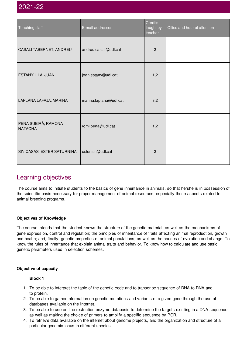| Teaching staff                        | E-mail addresses       | Credits<br>taught by<br>teacher | Office and hour of attention |
|---------------------------------------|------------------------|---------------------------------|------------------------------|
| CASALI TABERNET, ANDREU               | andreu.casali@udl.cat  | $\overline{c}$                  |                              |
| ESTANY ILLA, JUAN                     | joan.estany@udl.cat    | 1,2                             |                              |
| LAPLANA LAFAJA, MARINA                | marina.laplana@udl.cat | 3,2                             |                              |
| PENA SUBIRÀ, RAMONA<br><b>NATACHA</b> | romi.pena@udl.cat      | 1,2                             |                              |
| SIN CASAS, ESTER SATURNINA            | ester.sin@udl.cat      | $\overline{c}$                  |                              |

## Learning objectives

The course aims to initiate students to the basics of gene inheritance in animals, so that he/she is in possession of the scientific basis necessary for proper management of animal resources, especially those aspects related to animal breeding programs.

#### **Objectives of Knowledge**

The course intends that the student knows the structure of the genetic material, as well as the mechanisms of gene expression, control and regulation; the principles of inheritance of traits affecting animal reproduction, growth and health; and, finally, genetic properties of animal populations, as well as the causes of evolution and change. To know the rules of inheritance that explain animal traits and behavior. To know how to calculate and use basic genetic parameters used in selection schemes.

#### **Objective of capacity**

**Block 1**

- 1. To be able to interpret the table of the genetic code and to transcribe sequence of DNA to RNA and to protein.
- 2. To be able to gather information on genetic mutations and variants of a given gene through the use of databases available on the Internet.
- 3. To be able to use on line restriction enzyme databasis to determine the targets existing in a DNA sequence, as well as making the choice of primers to amplify a specific sequence by PCR.
- 4. To retrieve data available on the internet about genome projects, and the organization and structure of a particular genomic locus in different species.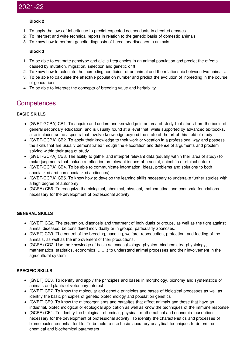#### **Block 2**

- 1. To apply the laws of inheritance to predict expected descendants in directed crosses.
- 2. To Interpret and write technical reports in relation to the genetic basis of domestic animals
- 3. To know how to perform genetic diagnosis of hereditary diseases in animals

#### **Block 3**

- 1. To be able to estimate genotype and allelic frequencies in an animal population and predict the effects caused by mutation, migration, selection and genetic drift.
- 2. To know how to calculate the inbreeding coefficient of an animal and the relationship between two animals.
- 3. To be able to calculate the effective population number and predict the evolution of inbreeding in the course of generations.
- 4. To be able to interpret the concepts of breeding value and heritability.

### **Competences**

#### **BASIC SKILLS**

- (GVET-GCPA) CB1. To acquire and understand knowledge in an area of study that starts from the basis of general secondary education, and is usually found at a level that, while supported by advanced textbooks, also includes some aspects that involve knowledge beyond the state-of-the-art of this field of study
- (GVET-GCPA) CB2. To apply their knowledge to their work or vocation in a professional way and possess the skills that are usually demonstrated through the elaboration and defense of arguments and problem solving within their area of study.
- (GVET-GCPA) CB3. The ability to gather and interpret relevant data (usually within their area of study) to make judgments that include a reflection on relevant issues of a social, scientific or ethical nature
- (GVET-GCPA) CB4. To be able to communicate information, ideas, problems and solutions to both specialized and non-specialized audiences)
- (GVET-GCPA) CB5. To know how to develop the learning skills necessary to undertake further studies with a high degree of autonomy
- (GCPA) CB6. To recognize the biological, chemical, physical, mathematical and economic foundations necessary for the development of professional activity

#### **GENERAL SKILLS**

- (GVET) CG2. The prevention, diagnosis and treatment of individuals or groups, as well as the fight against animal diseases, be considered individually or in groups, particularly zoonoses.
- (GVET) CG3. The control of the breeding, handling, welfare, reproduction, protection, and feeding of the animals, as well as the improvement of their productions.
- (GCPA) CG2. Use the knowledge of basic sciences (biology, physics, biochemistry, physiology, mathematics, statistics, economics, .......) to understand animal processes and their involvement in the agrucultural system

#### **SPECIFIC SKILLS**

- (GVET) CE3. To identify and apply the principles and bases in morphology, bionomy and systematics of animals and plants of veterinary interest
- (GVET) CE7. To know the molecular and genetic principles and bases of biological processes as well as identify the basic principles of genetic biotechnology and population genetics
- (GVET) CE9. To know the microorganisms and parasites that affect animals and those that have an industrial, biotechnological or ecological application as well as know the techniques of the immune response
- (GCPA) CE1. To identify the biological, chemical, physical, mathematical and economic foundations necessary for the development of professional activity. To identify the characteristics and processes of biomolecules essential for life. To be able to use basic laboratory analytical techniques to determine chemical and biochemical parameters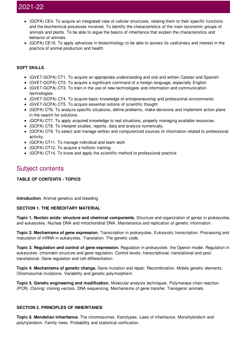- (GCPA) CE4. To acquire an integrated view of cellular structures, relating them to their specific functions and the biochemical processes involved. To identify the characteristics of the main taxonomic groups of animals and plants. To be able to argue the basics of inheritance that explain the characteristics and behavior of animals.
- (GCPA) CE16. To apply advances in biotechnology to be able to assess its usefulness and interest in the practice of animal production and health

#### **SOFT SKILLS**

- (GVET-GCPA) CT1. To acquire an appropriate understanding and oral and written Catalan and Spanish
- (GVET-GCPA) CT2. To acquire a significant command of a foreign language, especially English
- (GVET-GCPA) CT3. To train in the use of new technologies and information and communication technologies
- (GVET-GCPA) CT4. To acquire basic knowledge of entrepreneurship and professional environments
- (GVET-GCPA) CT5. To acquire essential notions of scientific thought
- (GCPA) CT6. To analyze specific situations, define problems, make decisions and implement action plans in the search for solutions.
- (GCPA) CT7. To apply acquired knowledge to real situations, properly managing available resources.
- (GCPA) CT8. To interpret studies, reports, data and analyze numerically.
- (GCPA) CT9. To select and manage written and computerized sources of information related to professional activity.
- (GCPA) CT11. To manage individual and team work
- (GCPA) CT12. To acquire a hollistic training.
- (GCPA) CT14. To know and apply the scientific method to professional practice

## Subject contents

#### **TABLE OF CONTENTS - TOPICS**

**Introduction**. Animal genetics and breeding

#### **SECTION 1. THE HEREDITARY MATERIAL**

**Topic 1. Nucleic acids: structure and chemical components.** Structure and organization of genes in prokaryotes and eukaryotes. Nuclear DNA and mitochondrial DNA. Maintenance and replication of genetic information

**Topic 2. Mechanisms of gene expression.** Transcription in prokaryotes. Eukaryotic transcription. Processing and maturation of mRNA in eukaryotes. Translation. The genetic code.

**Topic 3. Regulation and control of gene expression.** Regulation in prokaryotes: the Operon model. Regulation in eukaryotes: chromatin structure and gene regulation. Control levels: transcriptional, translational and posttranslational. Gene regulation and cell differentiation.

**Topic 4. Mechanisms of genetic change.** Gene mutation and repair. Recombination. Mobile genetic elements. Chromosomal mutations. Variability and genetic polymorphism.

**Topic 5. Genetic engineering and modification.** Molecular analysis techniques. Polymerase chain reaction (PCR). Cloning: cloning vectors. DNA sequencing. Mechanisms of gene transfer. Transgenic animals.

#### **SECTION 2. PRINCIPLES OF INHERITANCE**

**Topic 6. Mendelian Inheritance.** The chromosomes. Kariotypes. Laws of inheritance. Monohybridism and polyhybridism. Family trees. Probability and statistical verification.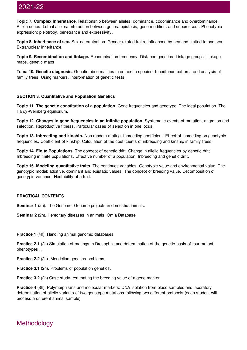**Topic 7. Complex Inheretance.** Relationship between alleles: dominance, codominance and overdominance. Allelic series. Lethal alleles. Interaction between genes: epistasis, gene modifiers and suppressors. Phenotypic expression: pleiotropy, penetrance and expressivity.

**Topic 8. Inheritance of sex.** Sex determination. Gender-related traits, influenced by sex and limited to one sex. Extranuclear inheritance.

**Topic 9. Recombination and linkage.** Recombination frequency. Distance genetics. Linkage groups. Linkage maps. genetic maps

**Tema 10. Genetic diagnosis.** Genetic abnormalities in domestic species. Inheritance patterns and analysis of family trees. Using markers. Interpretation of genetic tests.

#### **SECTION 3. Quantitative and Population Genetics**

**Topic 11. The genetic constitution of a population.** Gene frequencies and genotype. The ideal population. The Hardy-Weinberg equilibrium.

**Topic 12. Changes in gene frequencies in an infinite population.** Systematic events of mutation, migration and selection. Reproductive fitness. Particular cases of selection in one locus.

**Topic 13. Inbreeding and kinship.** Non-random mating. Inbreeding coefficient. Effect of inbreeding on genotypic frequencies. Coefficient of kinship. Calculation of the coefficients of inbreeding and kinship in family trees.

**Topic 14. Finite Populations.** The concept of genetic drift. Change in allelic frequencies by genetic drift. Inbreeding in finite populations. Effective number of a population. Inbreeding and genetic drift.

**Topic 15. Modeling quantitative traits.** The continuos variables. Genotypic value and environmental value. The genotypic model: additive, dominant and epistatic values. The concept of breeding value. Decomposition of genotypic variance. Heritability of a trait.

#### **PRACTICAL CONTENTS**

**Seminar 1** (2h). The Genome. Genome projects in domestic animals.

**Seminar 2** (2h). Hereditary diseases in animals. Omia Database

**Practice 1** (4h). Handling animal genomic databases

**Practice 2.1** (2h) Simulation of matings in Drosophila and determination of the genetic basis of four mutant phenotypes ..

**Practice 2.2** (2h). Mendelian genetics problems.

**Practice 3.1** (2h). Problems of population genetics.

**Practice 3.2** (2h) Case study: estimating the breeding value of a gene marker

**Practice 4** (8h): Polymorphisms and molecular markers: DNA isolation from blood samples and laboratory determination of allelic variants of two genotype mutations following two different protocols (each student will process a different animal sample).

## Methodology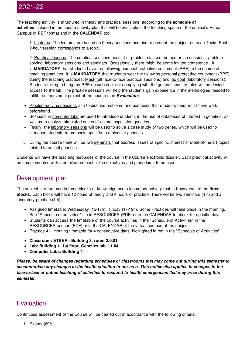The teaching activity is structured in theory and practical sessions, according to the **schedule of activities** included in the course activity plan that will be available in the teaching space of the subject's Virtual Campus in **PDF** format and in the **CALENDAR** tool

1. Lectures. The lectures are based on theory sessions and aim to present the subject on each Topic. Each 2-hour session corresponds to a topic.

2. Practical lessons. The practical sessions consist of problem classes, computer lab sessions, problemsolving, laboratory sessions and seminars. Ocassionally there might be some invited conference. It is **MANDATORY** that students have the following personal protective equipment (PPE) in the course of teaching practices: It is **MANDATORY** that students wear the following personal protective equipment (PPE) during the teaching practices: Mask (all face-to-face practical sessions) and lab coat (laboratory sessions). Students failing to bring the PPE described or not complying with the general security rules will be denied access to the lab. The practice sessions will help the students gain experience in the methologies needed to fullfil the transversal project of the course (see *Evaluation*). .

- Problem-solving sessions aim to discuss problems and exercises that students must must have work beforehand.
- Sessions in computer labs are used to introduce students in the use of databases of interest in genetics, as well as to analyze simulated cases of animal population genetics.
- Finally, the laboratory sessions will be used to solve a case study of two genes, which will be used to introduce students to protocols specific to molecular genetics.
- 3. During the course there will be two seminars that address issues of specific interest or state-of-the-art topics related to animal genetics.

Students will have the teaching resources of the course in the Course electronic dossier. Each practical activity will be complemented with a detailed protocol of the objectives and procedures to be used.

## Development plan

The subject is structured in three blocks of knowledge and a laboratory activity that is transversal to the **three blocks**. Each block will have 12 hours of theory and 4 hours of practice. There will be two seminars (4 h) and a laboratory practice (8 h).

- Assigned timetable: Wednesday (15-17h), Friday (17-19h). Some Practices will take place in the morning. See "Schedule of activities" file in RESOURCES (PDF) or in the CALENDAR to check for specific days.
- Students can access the timetable of the course activities in the "Schedule of Activities" in the RESOURCES section (PDF) or in the CALENDAR of the virtual campus of the subject..
- Practice 4 morning timetable for 4 consecutive days, highlighted in red in the "Schedule of Activities"
- **Classroom: ETSEA - Building 3, room 3.0.01.**
- **Lab: Building 1. 1st floor, Genetics lab 1.1.04**
- **Computer Labs: Building 4**

*Please, be aware of changes regarding schedules or classrooms that may come out during this semester to* accommodate any changes in the health situation in our area. This notice also applies to changes in the *face-to-face or online teaching of activities to respond to health emergencies that may arise during this semester.*

## **Evaluation**

Continuous assessment of the Course will be carried out in accordance with the following criteria:

1. Exams (60%).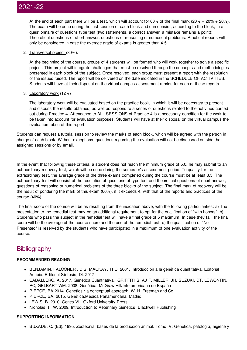At the end of each part there will be a test, which will account for 60% of the final mark (20% + 20% + 20%). The exam will be done during the last session of each block and can consist, according to the block, in a questionnaire of questions type test (two statements, a correct answer, a mistake remains a point); Theoretical questions of short answer, questions of reasoning or numerical problems. Practical reports will only be considered in case the average grade of exams is greater than 4.5.

2. Transversal project (30%).

At the beginning of the course, groups of 4 students will be formed who will work together to solve a specific project. This project will integrate challenges that must be resolved through the concepts and methodologies presented in each block of the subject. Once resolved, each group must present a report with the resolution of the issues raised. The report will be delivered on the date indicated in the SCHEDULE OF ACTIVITIES. Students will have at their disposal on the virtual campus assessment rubrics for each of these reports.

#### 3. Laboratory work (12%)

The laboratory work will be evaluated based on the practice book, in which it will be necessary to present and discuss the results obtained, as well as respond to a series of questions related to the activities carried out during Practice 4. Attendance to ALL SESSIONS of Practice 4 is a necessary condition for the work to be taken into account for evaluation purposes. Students will have at their disposal on the virtual campus the evaluation rubric of this report.

Students can request a tutorial session to review the marks of each block, which will be agreed with the person in charge of each block. Without exceptions, questions regarding the evaluation will not be discussed outside the assigned sessions or by email.

In the event that following these criteria, a student does not reach the minimum grade of 5.0, he may submit to an extraordinary recovery test, which will be done during the semester's assessment period. To qualify for the extraordinary test, the average grade of the three exams completed during the course must be at least 3.5. The extraordinary test will consist of the resolution of questions of type test and theoretical questions of short answer, questions of reasoning or numerical problems of the three blocks of the subject. The final mark of recovery will be the result of pondering the mark of this exam (60%), if it exceeds 4, with that of the reports and practices of the course (40%).

The final score of the course will be as resulting from the indication above, with the following particularities: a) The presentation to the remedial test may be an additional requirement to opt for the qualification of "with honors"; b) Students who pass the subject in the remedial test will have a final grade of 5 maximum; In case they fail, the final score will be the average of the course score and the one of the remedial test; c) the qualification of "Not Presented" is reserved by the students who have participated in a maximum of one evaluation activity of the course.

## **Bibliography**

#### **RECOMMENDED READING**

- BENJAMIN, FALCONER , D S, MACKAY, TFC, 2001. Introducción a la genética cuantitativa. Editorial Acribia. Editorial Síntesis, DL 2017
- CABALLERO, A, 2017. Genética Cuantitativa. GRIFFITHS, AJ F, MILLER, JH, SUZUKI, DT, LEWONTIN, RC, GELBART WM. 2008. Genética. McGraw-Hill/Interamericana de España
- PIERCE, BA 2014. Genetics : a conceptual approach. W. H. Freeman and Co
- PIERCE, BA. 2015. Genética.Médica Panamericana. Madrid
- LEWIS, B. 2010. Genes VII. Oxford University Press
- Nicholas, F. W. 2009. Introduction to Veterinary Genetics. Blackwell Publishing

#### **SUPPORTING INFORMATION**

BUXADÉ, C. (Ed). 1995. Zootecnia: bases de la producción animal. Tomo IV: Genética, patología, higiene y